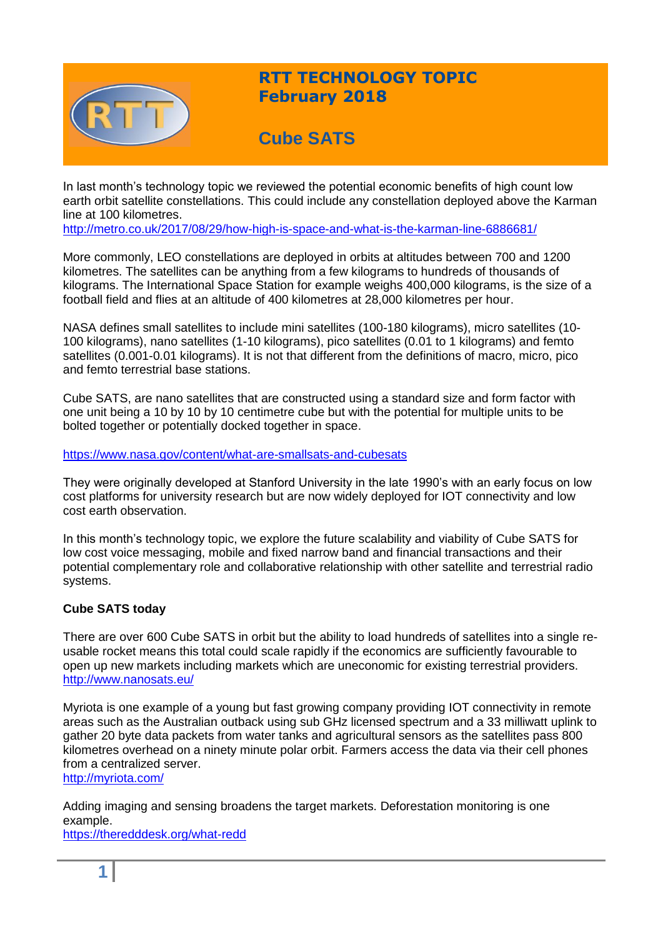

# **RTT TECHNOLOGY TOPIC February 2018**

# **Cube SATS**

In last month's technology topic we reviewed the potential economic benefits of high count low earth orbit satellite constellations. This could include any constellation deployed above the Karman line at 100 kilometres.

<http://metro.co.uk/2017/08/29/how-high-is-space-and-what-is-the-karman-line-6886681/>

More commonly, LEO constellations are deployed in orbits at altitudes between 700 and 1200 kilometres. The satellites can be anything from a few kilograms to hundreds of thousands of kilograms. The International Space Station for example weighs 400,000 kilograms, is the size of a football field and flies at an altitude of 400 kilometres at 28,000 kilometres per hour.

NASA defines small satellites to include mini satellites (100-180 kilograms), micro satellites (10- 100 kilograms), nano satellites (1-10 kilograms), pico satellites (0.01 to 1 kilograms) and femto satellites (0.001-0.01 kilograms). It is not that different from the definitions of macro, micro, pico and femto terrestrial base stations.

Cube SATS, are nano satellites that are constructed using a standard size and form factor with one unit being a 10 by 10 by 10 centimetre cube but with the potential for multiple units to be bolted together or potentially docked together in space.

#### <https://www.nasa.gov/content/what-are-smallsats-and-cubesats>

They were originally developed at Stanford University in the late 1990's with an early focus on low cost platforms for university research but are now widely deployed for IOT connectivity and low cost earth observation.

In this month's technology topic, we explore the future scalability and viability of Cube SATS for low cost voice messaging, mobile and fixed narrow band and financial transactions and their potential complementary role and collaborative relationship with other satellite and terrestrial radio systems.

# **Cube SATS today**

There are over 600 Cube SATS in orbit but the ability to load hundreds of satellites into a single reusable rocket means this total could scale rapidly if the economics are sufficiently favourable to open up new markets including markets which are uneconomic for existing terrestrial providers. <http://www.nanosats.eu/>

Myriota is one example of a young but fast growing company providing IOT connectivity in remote areas such as the Australian outback using sub GHz licensed spectrum and a 33 milliwatt uplink to gather 20 byte data packets from water tanks and agricultural sensors as the satellites pass 800 kilometres overhead on a ninety minute polar orbit. Farmers access the data via their cell phones from a centralized server.

<http://myriota.com/>

Adding imaging and sensing broadens the target markets. Deforestation monitoring is one example.

<https://theredddesk.org/what-redd>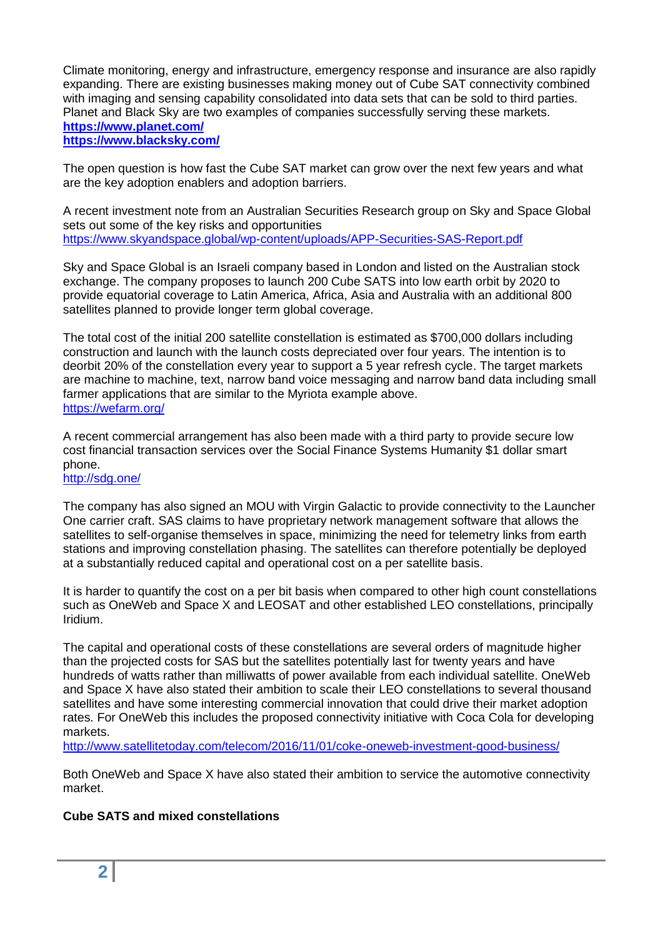Climate monitoring, energy and infrastructure, emergency response and insurance are also rapidly expanding. There are existing businesses making money out of Cube SAT connectivity combined with imaging and sensing capability consolidated into data sets that can be sold to third parties. Planet and Black Sky are two examples of companies successfully serving these markets. **<https://www.planet.com/> <https://www.blacksky.com/>**

The open question is how fast the Cube SAT market can grow over the next few years and what are the key adoption enablers and adoption barriers.

A recent investment note from an Australian Securities Research group on Sky and Space Global sets out some of the key risks and opportunities <https://www.skyandspace.global/wp-content/uploads/APP-Securities-SAS-Report.pdf>

Sky and Space Global is an Israeli company based in London and listed on the Australian stock exchange. The company proposes to launch 200 Cube SATS into low earth orbit by 2020 to provide equatorial coverage to Latin America, Africa, Asia and Australia with an additional 800 satellites planned to provide longer term global coverage.

The total cost of the initial 200 satellite constellation is estimated as \$700,000 dollars including construction and launch with the launch costs depreciated over four years. The intention is to deorbit 20% of the constellation every year to support a 5 year refresh cycle. The target markets are machine to machine, text, narrow band voice messaging and narrow band data including small farmer applications that are similar to the Myriota example above. <https://wefarm.org/>

A recent commercial arrangement has also been made with a third party to provide secure low cost financial transaction services over the Social Finance Systems Humanity \$1 dollar smart phone.

#### <http://sdg.one/>

The company has also signed an MOU with Virgin Galactic to provide connectivity to the Launcher One carrier craft. SAS claims to have proprietary network management software that allows the satellites to self-organise themselves in space, minimizing the need for telemetry links from earth stations and improving constellation phasing. The satellites can therefore potentially be deployed at a substantially reduced capital and operational cost on a per satellite basis.

It is harder to quantify the cost on a per bit basis when compared to other high count constellations such as OneWeb and Space X and LEOSAT and other established LEO constellations, principally Iridium.

The capital and operational costs of these constellations are several orders of magnitude higher than the projected costs for SAS but the satellites potentially last for twenty years and have hundreds of watts rather than milliwatts of power available from each individual satellite. OneWeb and Space X have also stated their ambition to scale their LEO constellations to several thousand satellites and have some interesting commercial innovation that could drive their market adoption rates. For OneWeb this includes the proposed connectivity initiative with Coca Cola for developing markets.

<http://www.satellitetoday.com/telecom/2016/11/01/coke-oneweb-investment-good-business/>

Both OneWeb and Space X have also stated their ambition to service the automotive connectivity market.

#### **Cube SATS and mixed constellations**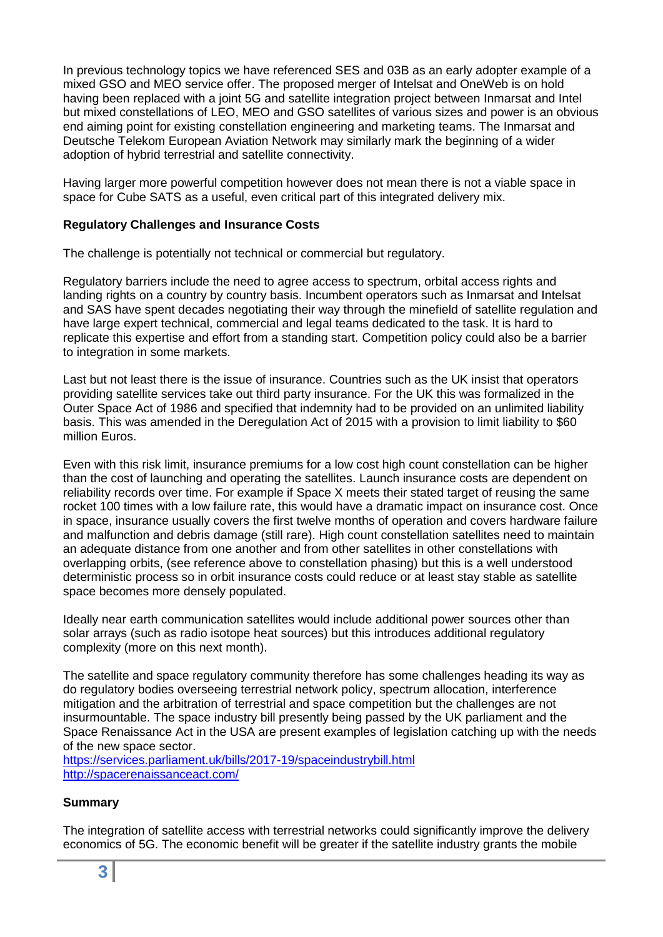In previous technology topics we have referenced SES and 03B as an early adopter example of a mixed GSO and MEO service offer. The proposed merger of Intelsat and OneWeb is on hold having been replaced with a joint 5G and satellite integration project between Inmarsat and Intel but mixed constellations of LEO, MEO and GSO satellites of various sizes and power is an obvious end aiming point for existing constellation engineering and marketing teams. The Inmarsat and Deutsche Telekom European Aviation Network may similarly mark the beginning of a wider adoption of hybrid terrestrial and satellite connectivity.

Having larger more powerful competition however does not mean there is not a viable space in space for Cube SATS as a useful, even critical part of this integrated delivery mix.

## **Regulatory Challenges and Insurance Costs**

The challenge is potentially not technical or commercial but regulatory.

Regulatory barriers include the need to agree access to spectrum, orbital access rights and landing rights on a country by country basis. Incumbent operators such as Inmarsat and Intelsat and SAS have spent decades negotiating their way through the minefield of satellite regulation and have large expert technical, commercial and legal teams dedicated to the task. It is hard to replicate this expertise and effort from a standing start. Competition policy could also be a barrier to integration in some markets.

Last but not least there is the issue of insurance. Countries such as the UK insist that operators providing satellite services take out third party insurance. For the UK this was formalized in the Outer Space Act of 1986 and specified that indemnity had to be provided on an unlimited liability basis. This was amended in the Deregulation Act of 2015 with a provision to limit liability to \$60 million Euros.

Even with this risk limit, insurance premiums for a low cost high count constellation can be higher than the cost of launching and operating the satellites. Launch insurance costs are dependent on reliability records over time. For example if Space X meets their stated target of reusing the same rocket 100 times with a low failure rate, this would have a dramatic impact on insurance cost. Once in space, insurance usually covers the first twelve months of operation and covers hardware failure and malfunction and debris damage (still rare). High count constellation satellites need to maintain an adequate distance from one another and from other satellites in other constellations with overlapping orbits, (see reference above to constellation phasing) but this is a well understood deterministic process so in orbit insurance costs could reduce or at least stay stable as satellite space becomes more densely populated.

Ideally near earth communication satellites would include additional power sources other than solar arrays (such as radio isotope heat sources) but this introduces additional regulatory complexity (more on this next month).

The satellite and space regulatory community therefore has some challenges heading its way as do regulatory bodies overseeing terrestrial network policy, spectrum allocation, interference mitigation and the arbitration of terrestrial and space competition but the challenges are not insurmountable. The space industry bill presently being passed by the UK parliament and the Space Renaissance Act in the USA are present examples of legislation catching up with the needs of the new space sector.

<https://services.parliament.uk/bills/2017-19/spaceindustrybill.html> <http://spacerenaissanceact.com/>

# **Summary**

The integration of satellite access with terrestrial networks could significantly improve the delivery economics of 5G. The economic benefit will be greater if the satellite industry grants the mobile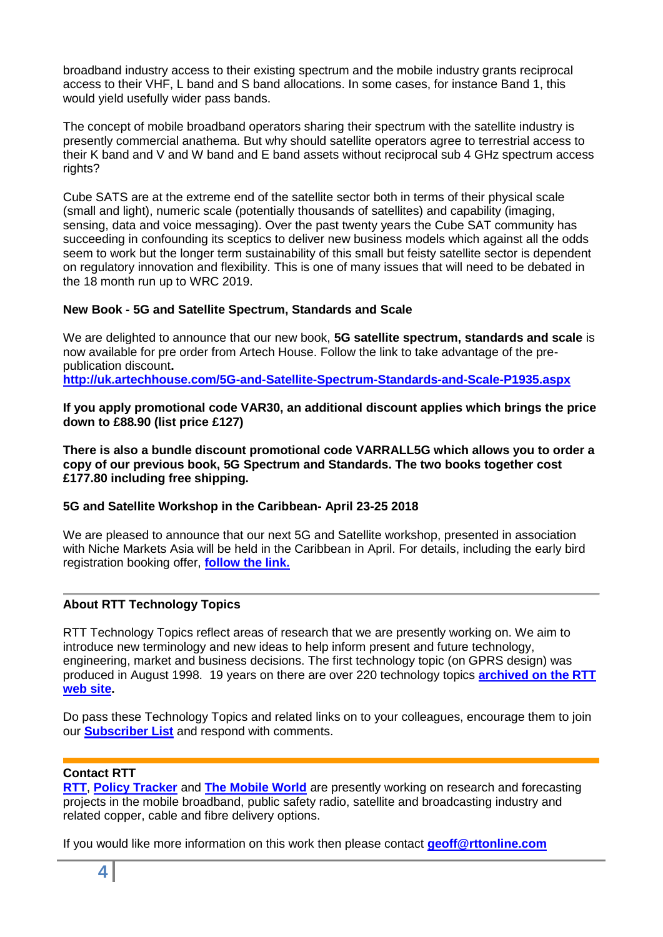broadband industry access to their existing spectrum and the mobile industry grants reciprocal access to their VHF, L band and S band allocations. In some cases, for instance Band 1, this would yield usefully wider pass bands.

The concept of mobile broadband operators sharing their spectrum with the satellite industry is presently commercial anathema. But why should satellite operators agree to terrestrial access to their K band and V and W band and E band assets without reciprocal sub 4 GHz spectrum access rights?

Cube SATS are at the extreme end of the satellite sector both in terms of their physical scale (small and light), numeric scale (potentially thousands of satellites) and capability (imaging, sensing, data and voice messaging). Over the past twenty years the Cube SAT community has succeeding in confounding its sceptics to deliver new business models which against all the odds seem to work but the longer term sustainability of this small but feisty satellite sector is dependent on regulatory innovation and flexibility. This is one of many issues that will need to be debated in the 18 month run up to WRC 2019.

## **New Book - 5G and Satellite Spectrum, Standards and Scale**

We are delighted to announce that our new book, **5G satellite spectrum, standards and scale** is now available for pre order from Artech House. Follow the link to take advantage of the prepublication discount**.**

**<http://uk.artechhouse.com/5G-and-Satellite-Spectrum-Standards-and-Scale-P1935.aspx>**

**If you apply promotional code VAR30, an additional discount applies which brings the price down to £88.90 (list price £127)**

**There is also a bundle discount promotional code VARRALL5G which allows you to order a copy of our previous book, 5G Spectrum and Standards. The two books together cost £177.80 including free shipping.**

#### **5G and Satellite Workshop in the Caribbean- April 23-25 2018**

We are pleased to announce that our next 5G and Satellite workshop, presented in association with Niche Markets Asia will be held in the Caribbean in April. For details, including the early bird registration booking offer, **[follow the link.](http://www.rttonline.com/documents/5G%20and%20Satellite%20Caribbean%202018%20Apr.pdf)**

# **About RTT Technology Topics**

RTT Technology Topics reflect areas of research that we are presently working on. We aim to introduce new terminology and new ideas to help inform present and future technology, engineering, market and business decisions. The first technology topic (on GPRS design) was produced in August 1998. 19 years on there are over 220 technology topics **[archived on the RTT](http://www.rttonline.com/sitemap.html)  [web site.](http://www.rttonline.com/sitemap.html)** 

Do pass these Technology Topics and related links on to your colleagues, encourage them to join our **[Subscriber List](mailto:geoff@rttonline.com?subject=Please%20put%20me%20on%20the%20RTT%20Push%20List)** and respond with comments.

#### **Contact RTT**

**[RTT](http://www.rttonline.com/)**, **[Policy Tracker](http://www.policytracker.com/)** and **[The Mobile World](http://www.mowo.global/)** are presently working on research and forecasting projects in the mobile broadband, public safety radio, satellite and broadcasting industry and related copper, cable and fibre delivery options.

If you would like more information on this work then please contact **[geoff@rttonline.com](mailto:geoff@rttonline.com)**